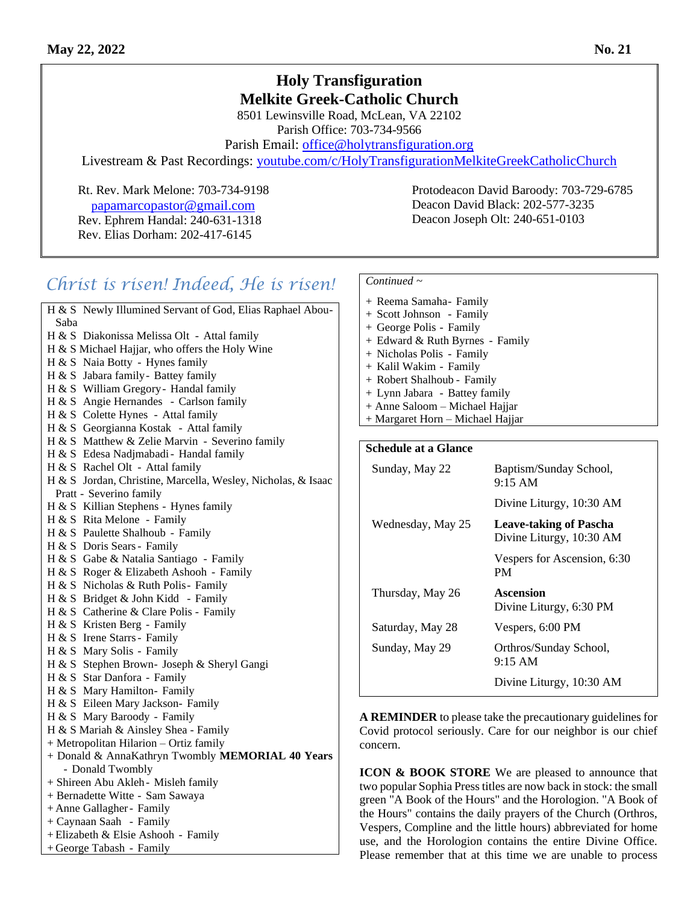## **Holy Transfiguration Melkite Greek-Catholic Church**

8501 Lewinsville Road, McLean, VA 22102 Parish Office: 703-734-9566

Parish Email: [office@holytransfiguration.org](mailto:office@holytransfiguration.org)

Livestream & Past Recordings: [youtube.com/c/HolyTransfigurationMelkiteGreekCatholicChurch](http://youtube.com/c/HolyTransfigurationMelkiteGreekCatholicChurch)

 [p](mailto:papamarcopastor@gmail.com)[apamarcopastor@gmail.com](mailto:papamarcopastor@gmail.com) Rev. Ephrem Handal: 240-631-1318 Rev. Elias Dorham: 202-417-6145

Rt. Rev. Mark Melone: 703-734-9198 Protodeacon David Baroody: 703-729-6785 Deacon David Black: 202-577-3235 Deacon Joseph Olt: 240-651-0103

# *Christ is risen! Indeed, He is risen!*

| H & S Newly Illumined Servant of God, Elias Raphael Abou-    |
|--------------------------------------------------------------|
| Saba                                                         |
| H & S Diakonissa Melissa Olt - Attal family                  |
| H & S Michael Hajjar, who offers the Holy Wine               |
| H & S Naia Botty - Hynes family                              |
| H & S Jabara family - Battey family                          |
| H & S William Gregory - Handal family                        |
| H & S Angie Hernandes - Carlson family                       |
| H & S Colette Hynes - Attal family                           |
| H & S Georgianna Kostak - Attal family                       |
| H & S Matthew & Zelie Marvin - Severino family               |
| H & S Edesa Nadjmabadi - Handal family                       |
| H & S Rachel Olt - Attal family                              |
| H & S Jordan, Christine, Marcella, Wesley, Nicholas, & Isaac |
| Pratt - Severino family                                      |
| H & S Killian Stephens - Hynes family                        |
| H & S Rita Melone - Family                                   |
| H & S Paulette Shalhoub - Family                             |
| H & S Doris Sears - Family                                   |
| H & S Gabe & Natalia Santiago - Family                       |
| H & S Roger & Elizabeth Ashooh - Family                      |
| H & S Nicholas & Ruth Polis- Family                          |
| H & S Bridget & John Kidd - Family                           |
| H & S Catherine & Clare Polis - Family                       |
| H & S Kristen Berg - Family                                  |
| H & S Irene Starrs - Family                                  |
| H & S Mary Solis - Family                                    |
| H & S Stephen Brown- Joseph & Sheryl Gangi                   |
| H & S Star Danfora - Family                                  |
| H & S Mary Hamilton- Family                                  |
| H & S Eileen Mary Jackson- Family                            |
| H & S Mary Baroody - Family                                  |
| H & S Mariah & Ainsley Shea - Family                         |
| + Metropolitan Hilarion - Ortiz family                       |
| + Donald & AnnaKathryn Twombly MEMORIAL 40 Years             |
| - Donald Twombly                                             |
| + Shireen Abu Akleh - Misleh family                          |
| + Bernadette Witte - Sam Sawaya                              |
| + Anne Gallagher - Family                                    |
| + Caynaan Saah - Family                                      |
| + Elizabeth & Elsie Ashooh - Family                          |
| + George Tabash - Family                                     |

#### *Continued ~*

| + Reema Samaha- Family           |
|----------------------------------|
| + Scott Johnson - Family         |
| + George Polis - Family          |
| + Edward & Ruth Byrnes - Family  |
| + Nicholas Polis - Family        |
| + Kalil Wakim - Family           |
| + Robert Shalhoub - Family       |
| + Lynn Jabara - Battey family    |
| + Anne Saloom – Michael Hajjar   |
| + Margaret Horn – Michael Hajjar |
|                                  |
|                                  |

#### **Schedule at a Glance**

| Sunday, May 22    | Baptism/Sunday School,<br>$9:15 \, \text{AM}$             |
|-------------------|-----------------------------------------------------------|
|                   | Divine Liturgy, 10:30 AM                                  |
| Wednesday, May 25 | <b>Leave-taking of Pascha</b><br>Divine Liturgy, 10:30 AM |
|                   | Vespers for Ascension, 6:30<br>PМ                         |
| Thursday, May 26  | Ascension<br>Divine Liturgy, 6:30 PM                      |
| Saturday, May 28  | Vespers, 6:00 PM                                          |
| Sunday, May 29    | Orthros/Sunday School,                                    |
|                   | $9:15$ AM                                                 |

**A REMINDER** to please take the precautionary guidelines for Covid protocol seriously. Care for our neighbor is our chief concern.

**ICON & BOOK STORE** We are pleased to announce that two popular Sophia Press titles are now back in stock: the small green "A Book of the Hours" and the Horologion. "A Book of the Hours" contains the daily prayers of the Church (Orthros, Vespers, Compline and the little hours) abbreviated for home use, and the Horologion contains the entire Divine Office. Please remember that at this time we are unable to process